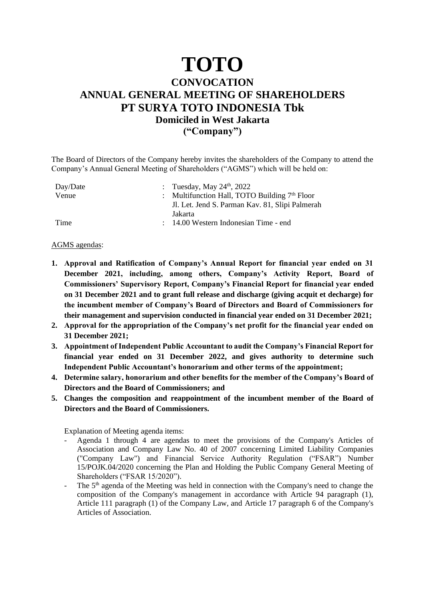## **TOTO**

## **CONVOCATION ANNUAL GENERAL MEETING OF SHAREHOLDERS PT SURYA TOTO INDONESIA Tbk Domiciled in West Jakarta ("Company")**

The Board of Directors of the Company hereby invites the shareholders of the Company to attend the Company's Annual General Meeting of Shareholders ("AGMS") which will be held on:

| Day/Date | : Tuesday, May $24th$ , 2022                    |
|----------|-------------------------------------------------|
| Venue    | : Multifunction Hall, TOTO Building $7th$ Floor |
|          | Jl. Let. Jend S. Parman Kav. 81, Slipi Palmerah |
|          | Jakarta                                         |
| Time     | : 14.00 Western Indonesian Time - end           |

## AGMS agendas:

- **1. Approval and Ratification of Company's Annual Report for financial year ended on 31 December 2021, including, among others, Company's Activity Report, Board of Commissioners' Supervisory Report, Company's Financial Report for financial year ended on 31 December 2021 and to grant full release and discharge (giving acquit et decharge) for the incumbent member of Company's Board of Directors and Board of Commissioners for their management and supervision conducted in financial year ended on 31 December 2021;**
- **2. Approval for the appropriation of the Company's net profit for the financial year ended on 31 December 2021;**
- **3. Appointment of Independent Public Accountant to audit the Company's Financial Report for financial year ended on 31 December 2022, and gives authority to determine such Independent Public Accountant's honorarium and other terms of the appointment;**
- **4. Determine salary, honorarium and other benefits for the member of the Company's Board of Directors and the Board of Commissioners; and**
- **5. Changes the composition and reappointment of the incumbent member of the Board of Directors and the Board of Commissioners.**

Explanation of Meeting agenda items:

- Agenda 1 through 4 are agendas to meet the provisions of the Company's Articles of Association and Company Law No. 40 of 2007 concerning Limited Liability Companies ("Company Law") and Financial Service Authority Regulation ("FSAR") Number 15/POJK.04/2020 concerning the Plan and Holding the Public Company General Meeting of Shareholders ("FSAR 15/2020").
- The  $5<sup>th</sup>$  agenda of the Meeting was held in connection with the Company's need to change the composition of the Company's management in accordance with Article 94 paragraph (1), Article 111 paragraph (1) of the Company Law, and Article 17 paragraph 6 of the Company's Articles of Association.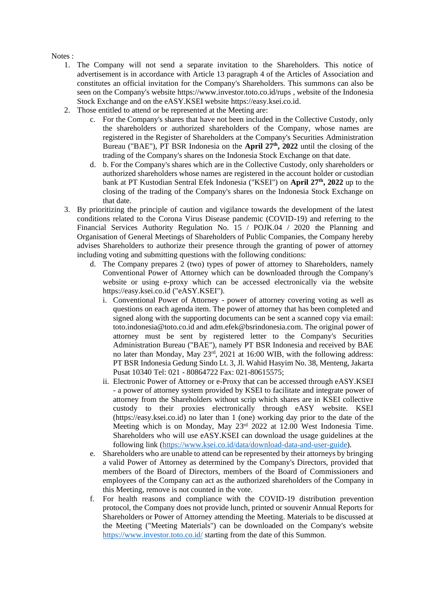Notes :

- 1. The Company will not send a separate invitation to the Shareholders. This notice of advertisement is in accordance with Article 13 paragraph 4 of the Articles of Association and constitutes an official invitation for the Company's Shareholders. This summons can also be seen on the Company's website https://www.investor.toto.co.id/rups , website of the Indonesia Stock Exchange and on the eASY.KSEI website [https://easy.ksei.co.id.](https://easy.ksei.co.id/)
- 2. Those entitled to attend or be represented at the Meeting are:
	- c. For the Company's shares that have not been included in the Collective Custody, only the shareholders or authorized shareholders of the Company, whose names are registered in the Register of Shareholders at the Company's Securities Administration Bureau ("BAE"), PT BSR Indonesia on the **April 27 th, 2022** until the closing of the trading of the Company's shares on the Indonesia Stock Exchange on that date.
	- d. b. For the Company's shares which are in the Collective Custody, only shareholders or authorized shareholders whose names are registered in the account holder or custodian bank at PT Kustodian Sentral Efek Indonesia ("KSEI") on April 27<sup>th</sup>, 2022 up to the closing of the trading of the Company's shares on the Indonesia Stock Exchange on that date.
- 3. By prioritizing the principle of caution and vigilance towards the development of the latest conditions related to the Corona Virus Disease pandemic (COVID-19) and referring to the Financial Services Authority Regulation No. 15 / POJK.04 / 2020 the Planning and Organisation of General Meetings of Shareholders of Public Companies, the Company hereby advises Shareholders to authorize their presence through the granting of power of attorney including voting and submitting questions with the following conditions:
	- d. The Company prepares 2 (two) types of power of attorney to Shareholders, namely Conventional Power of Attorney which can be downloaded through the Company's website or using e-proxy which can be accessed electronically via the website https://easy.ksei.co.id ("eASY.KSEI").
		- i. Conventional Power of Attorney power of attorney covering voting as well as questions on each agenda item. The power of attorney that has been completed and signed along with the supporting documents can be sent a scanned copy via email: toto.indonesia@toto.co.id and adm.efek@bsrindonesia.com. The original power of attorney must be sent by registered letter to the Company's Securities Administration Bureau ("BAE"), namely PT BSR Indonesia and received by BAE no later than Monday, May 23 rd, 2021 at 16:00 WIB, with the following address: PT BSR Indonesia Gedung Sindo Lt. 3, Jl. Wahid Hasyim No. 38, Menteng, Jakarta Pusat 10340 Tel: 021 - 80864722 Fax: 021-80615575;
		- ii. Electronic Power of Attorney or e-Proxy that can be accessed through eASY.KSEI - a power of attorney system provided by KSEI to facilitate and integrate power of attorney from the Shareholders without scrip which shares are in KSEI collective custody to their proxies electronically through eASY website. KSEI (https://easy.ksei.co.id) no later than 1 (one) working day prior to the date of the Meeting which is on Monday, May 23<sup>rd</sup> 2022 at 12.00 West Indonesia Time. Shareholders who will use eASY.KSEI can download the usage guidelines at the following link [\(https://www.ksei.co.id/data/download-data-and-user-guide\)](https://www.ksei.co.id/data/download-data-and-user-guide).
	- e. Shareholders who are unable to attend can be represented by their attorneys by bringing a valid Power of Attorney as determined by the Company's Directors, provided that members of the Board of Directors, members of the Board of Commissioners and employees of the Company can act as the authorized shareholders of the Company in this Meeting, remove is not counted in the vote.
	- f. For health reasons and compliance with the COVID-19 distribution prevention protocol, the Company does not provide lunch, printed or souvenir Annual Reports for Shareholders or Power of Attorney attending the Meeting. Materials to be discussed at the Meeting ("Meeting Materials") can be downloaded on the Company's website <https://www.investor.toto.co.id/> starting from the date of this Summon.